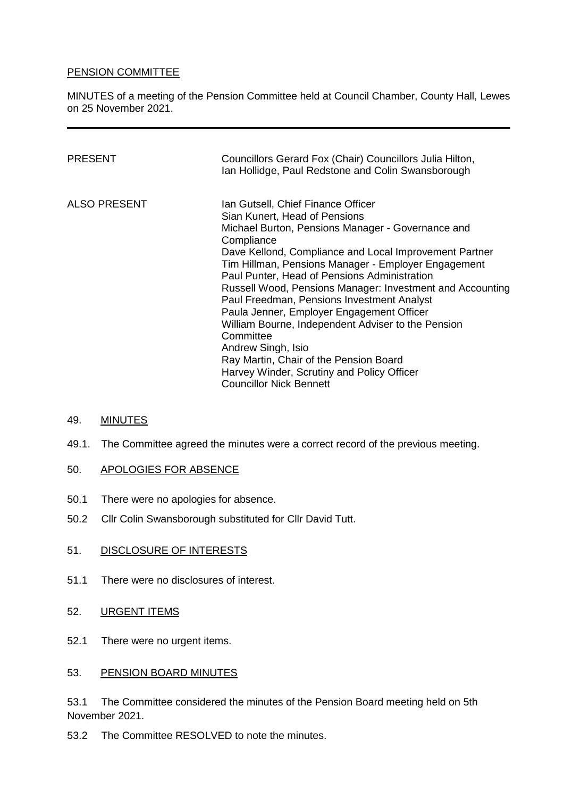### PENSION COMMITTEE

MINUTES of a meeting of the Pension Committee held at Council Chamber, County Hall, Lewes on 25 November 2021.

| PRESENT      | Councillors Gerard Fox (Chair) Councillors Julia Hilton,<br>Ian Hollidge, Paul Redstone and Colin Swansborough                                                                                                                                                                                                                                                                                                                                                                                                                                                                                                                                                                     |
|--------------|------------------------------------------------------------------------------------------------------------------------------------------------------------------------------------------------------------------------------------------------------------------------------------------------------------------------------------------------------------------------------------------------------------------------------------------------------------------------------------------------------------------------------------------------------------------------------------------------------------------------------------------------------------------------------------|
| ALSO PRESENT | Ian Gutsell, Chief Finance Officer<br>Sian Kunert, Head of Pensions<br>Michael Burton, Pensions Manager - Governance and<br>Compliance<br>Dave Kellond, Compliance and Local Improvement Partner<br>Tim Hillman, Pensions Manager - Employer Engagement<br>Paul Punter, Head of Pensions Administration<br>Russell Wood, Pensions Manager: Investment and Accounting<br>Paul Freedman, Pensions Investment Analyst<br>Paula Jenner, Employer Engagement Officer<br>William Bourne, Independent Adviser to the Pension<br>Committee<br>Andrew Singh, Isio<br>Ray Martin, Chair of the Pension Board<br>Harvey Winder, Scrutiny and Policy Officer<br><b>Councillor Nick Bennett</b> |

### 49. MINUTES

49.1. The Committee agreed the minutes were a correct record of the previous meeting.

### 50. APOLOGIES FOR ABSENCE

- 50.1 There were no apologies for absence.
- 50.2 Cllr Colin Swansborough substituted for Cllr David Tutt.

### 51. DISCLOSURE OF INTERESTS

- 51.1 There were no disclosures of interest.
- 52. URGENT ITEMS
- 52.1 There were no urgent items.

### 53. PENSION BOARD MINUTES

53.1 The Committee considered the minutes of the Pension Board meeting held on 5th November 2021.

53.2 The Committee RESOLVED to note the minutes.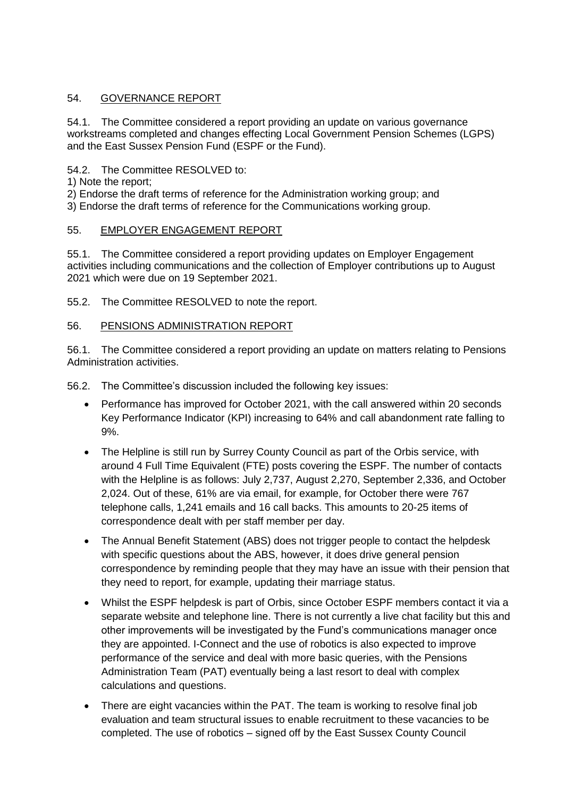## 54. GOVERNANCE REPORT

54.1. The Committee considered a report providing an update on various governance workstreams completed and changes effecting Local Government Pension Schemes (LGPS) and the East Sussex Pension Fund (ESPF or the Fund).

54.2. The Committee RESOLVED to:

- 1) Note the report;
- 2) Endorse the draft terms of reference for the Administration working group; and

3) Endorse the draft terms of reference for the Communications working group.

## 55. EMPLOYER ENGAGEMENT REPORT

55.1. The Committee considered a report providing updates on Employer Engagement activities including communications and the collection of Employer contributions up to August 2021 which were due on 19 September 2021.

55.2. The Committee RESOLVED to note the report.

## 56. PENSIONS ADMINISTRATION REPORT

56.1. The Committee considered a report providing an update on matters relating to Pensions Administration activities.

56.2. The Committee's discussion included the following key issues:

- Performance has improved for October 2021, with the call answered within 20 seconds Key Performance Indicator (KPI) increasing to 64% and call abandonment rate falling to 9%.
- The Helpline is still run by Surrey County Council as part of the Orbis service, with around 4 Full Time Equivalent (FTE) posts covering the ESPF. The number of contacts with the Helpline is as follows: July 2,737, August 2,270, September 2,336, and October 2,024. Out of these, 61% are via email, for example, for October there were 767 telephone calls, 1,241 emails and 16 call backs. This amounts to 20-25 items of correspondence dealt with per staff member per day.
- The Annual Benefit Statement (ABS) does not trigger people to contact the helpdesk with specific questions about the ABS, however, it does drive general pension correspondence by reminding people that they may have an issue with their pension that they need to report, for example, updating their marriage status.
- Whilst the ESPF helpdesk is part of Orbis, since October ESPF members contact it via a separate website and telephone line. There is not currently a live chat facility but this and other improvements will be investigated by the Fund's communications manager once they are appointed. I-Connect and the use of robotics is also expected to improve performance of the service and deal with more basic queries, with the Pensions Administration Team (PAT) eventually being a last resort to deal with complex calculations and questions.
- There are eight vacancies within the PAT. The team is working to resolve final job evaluation and team structural issues to enable recruitment to these vacancies to be completed. The use of robotics – signed off by the East Sussex County Council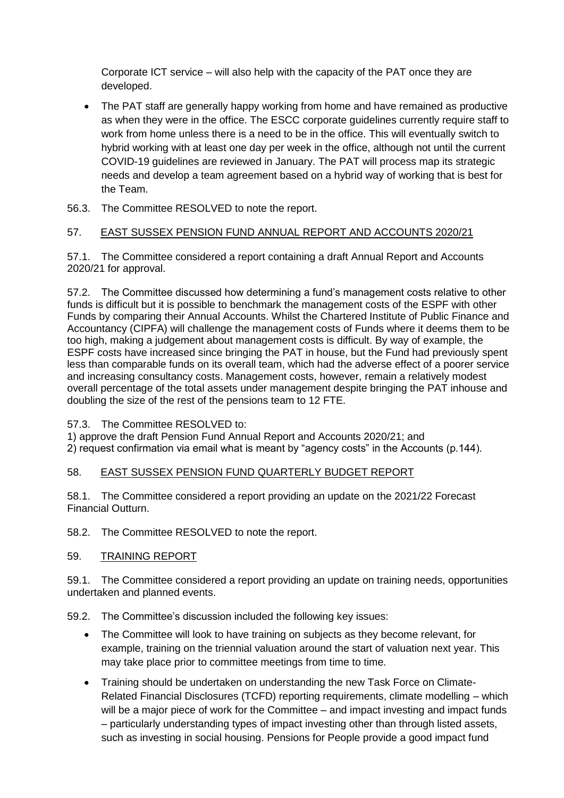Corporate ICT service – will also help with the capacity of the PAT once they are developed.

- The PAT staff are generally happy working from home and have remained as productive as when they were in the office. The ESCC corporate guidelines currently require staff to work from home unless there is a need to be in the office. This will eventually switch to hybrid working with at least one day per week in the office, although not until the current COVID-19 guidelines are reviewed in January. The PAT will process map its strategic needs and develop a team agreement based on a hybrid way of working that is best for the Team.
- 56.3. The Committee RESOLVED to note the report.

## 57. EAST SUSSEX PENSION FUND ANNUAL REPORT AND ACCOUNTS 2020/21

57.1. The Committee considered a report containing a draft Annual Report and Accounts 2020/21 for approval.

57.2. The Committee discussed how determining a fund's management costs relative to other funds is difficult but it is possible to benchmark the management costs of the ESPF with other Funds by comparing their Annual Accounts. Whilst the Chartered Institute of Public Finance and Accountancy (CIPFA) will challenge the management costs of Funds where it deems them to be too high, making a judgement about management costs is difficult. By way of example, the ESPF costs have increased since bringing the PAT in house, but the Fund had previously spent less than comparable funds on its overall team, which had the adverse effect of a poorer service and increasing consultancy costs. Management costs, however, remain a relatively modest overall percentage of the total assets under management despite bringing the PAT inhouse and doubling the size of the rest of the pensions team to 12 FTE.

57.3. The Committee RESOLVED to:

1) approve the draft Pension Fund Annual Report and Accounts 2020/21; and 2) request confirmation via email what is meant by "agency costs" in the Accounts (p.144).

### 58. EAST SUSSEX PENSION FUND QUARTERLY BUDGET REPORT

58.1. The Committee considered a report providing an update on the 2021/22 Forecast Financial Outturn.

58.2. The Committee RESOLVED to note the report.

### 59. TRAINING REPORT

59.1. The Committee considered a report providing an update on training needs, opportunities undertaken and planned events.

59.2. The Committee's discussion included the following key issues:

- The Committee will look to have training on subjects as they become relevant, for example, training on the triennial valuation around the start of valuation next year. This may take place prior to committee meetings from time to time.
- Training should be undertaken on understanding the new Task Force on Climate-Related Financial Disclosures (TCFD) reporting requirements, climate modelling – which will be a major piece of work for the Committee – and impact investing and impact funds – particularly understanding types of impact investing other than through listed assets, such as investing in social housing. Pensions for People provide a good impact fund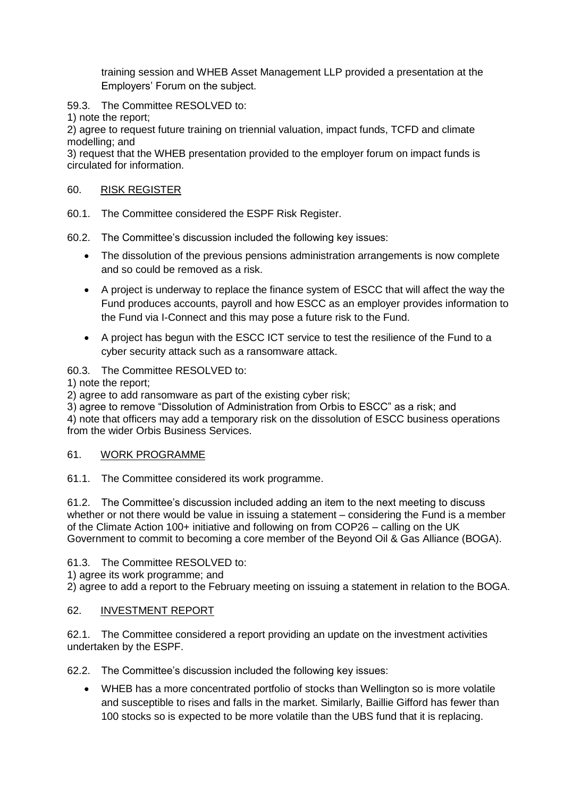training session and WHEB Asset Management LLP provided a presentation at the Employers' Forum on the subject.

59.3. The Committee RESOLVED to:

1) note the report;

2) agree to request future training on triennial valuation, impact funds, TCFD and climate modelling; and

3) request that the WHEB presentation provided to the employer forum on impact funds is circulated for information.

## 60. RISK REGISTER

- 60.1. The Committee considered the ESPF Risk Register.
- 60.2. The Committee's discussion included the following key issues:
	- The dissolution of the previous pensions administration arrangements is now complete and so could be removed as a risk.
	- A project is underway to replace the finance system of ESCC that will affect the way the Fund produces accounts, payroll and how ESCC as an employer provides information to the Fund via I-Connect and this may pose a future risk to the Fund.
	- A project has begun with the ESCC ICT service to test the resilience of the Fund to a cyber security attack such as a ransomware attack.

# 60.3. The Committee RESOLVED to:

1) note the report;

2) agree to add ransomware as part of the existing cyber risk;

3) agree to remove "Dissolution of Administration from Orbis to ESCC" as a risk; and 4) note that officers may add a temporary risk on the dissolution of ESCC business operations from the wider Orbis Business Services.

### 61. WORK PROGRAMME

61.1. The Committee considered its work programme.

61.2. The Committee's discussion included adding an item to the next meeting to discuss whether or not there would be value in issuing a statement – considering the Fund is a member of the Climate Action 100+ initiative and following on from COP26 – calling on the UK Government to commit to becoming a core member of the Beyond Oil & Gas Alliance (BOGA).

61.3. The Committee RESOLVED to:

1) agree its work programme; and

2) agree to add a report to the February meeting on issuing a statement in relation to the BOGA.

### 62. INVESTMENT REPORT

62.1. The Committee considered a report providing an update on the investment activities undertaken by the ESPF.

62.2. The Committee's discussion included the following key issues:

 WHEB has a more concentrated portfolio of stocks than Wellington so is more volatile and susceptible to rises and falls in the market. Similarly, Baillie Gifford has fewer than 100 stocks so is expected to be more volatile than the UBS fund that it is replacing.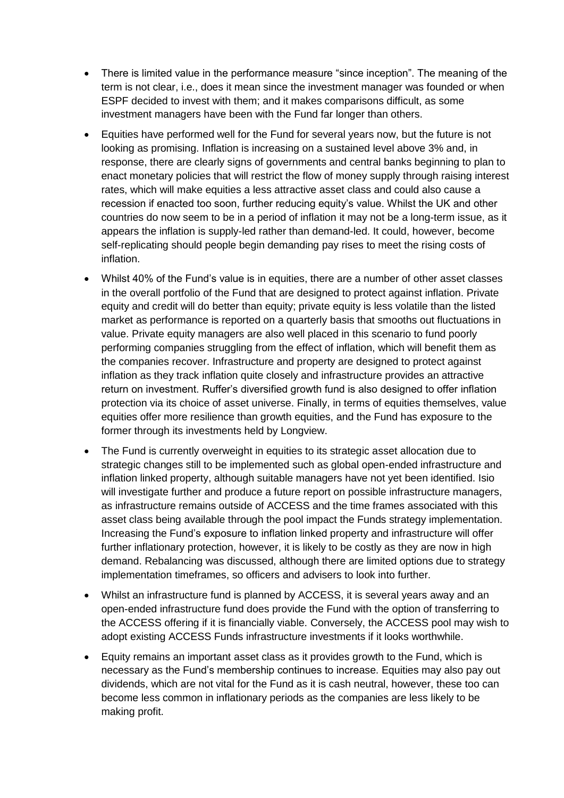- There is limited value in the performance measure "since inception". The meaning of the term is not clear, i.e., does it mean since the investment manager was founded or when ESPF decided to invest with them; and it makes comparisons difficult, as some investment managers have been with the Fund far longer than others.
- Equities have performed well for the Fund for several years now, but the future is not looking as promising. Inflation is increasing on a sustained level above 3% and, in response, there are clearly signs of governments and central banks beginning to plan to enact monetary policies that will restrict the flow of money supply through raising interest rates, which will make equities a less attractive asset class and could also cause a recession if enacted too soon, further reducing equity's value. Whilst the UK and other countries do now seem to be in a period of inflation it may not be a long-term issue, as it appears the inflation is supply-led rather than demand-led. It could, however, become self-replicating should people begin demanding pay rises to meet the rising costs of inflation.
- Whilst 40% of the Fund's value is in equities, there are a number of other asset classes in the overall portfolio of the Fund that are designed to protect against inflation. Private equity and credit will do better than equity; private equity is less volatile than the listed market as performance is reported on a quarterly basis that smooths out fluctuations in value. Private equity managers are also well placed in this scenario to fund poorly performing companies struggling from the effect of inflation, which will benefit them as the companies recover. Infrastructure and property are designed to protect against inflation as they track inflation quite closely and infrastructure provides an attractive return on investment. Ruffer's diversified growth fund is also designed to offer inflation protection via its choice of asset universe. Finally, in terms of equities themselves, value equities offer more resilience than growth equities, and the Fund has exposure to the former through its investments held by Longview.
- The Fund is currently overweight in equities to its strategic asset allocation due to strategic changes still to be implemented such as global open-ended infrastructure and inflation linked property, although suitable managers have not yet been identified. Isio will investigate further and produce a future report on possible infrastructure managers, as infrastructure remains outside of ACCESS and the time frames associated with this asset class being available through the pool impact the Funds strategy implementation. Increasing the Fund's exposure to inflation linked property and infrastructure will offer further inflationary protection, however, it is likely to be costly as they are now in high demand. Rebalancing was discussed, although there are limited options due to strategy implementation timeframes, so officers and advisers to look into further.
- Whilst an infrastructure fund is planned by ACCESS, it is several years away and an open-ended infrastructure fund does provide the Fund with the option of transferring to the ACCESS offering if it is financially viable. Conversely, the ACCESS pool may wish to adopt existing ACCESS Funds infrastructure investments if it looks worthwhile.
- Equity remains an important asset class as it provides growth to the Fund, which is necessary as the Fund's membership continues to increase. Equities may also pay out dividends, which are not vital for the Fund as it is cash neutral, however, these too can become less common in inflationary periods as the companies are less likely to be making profit.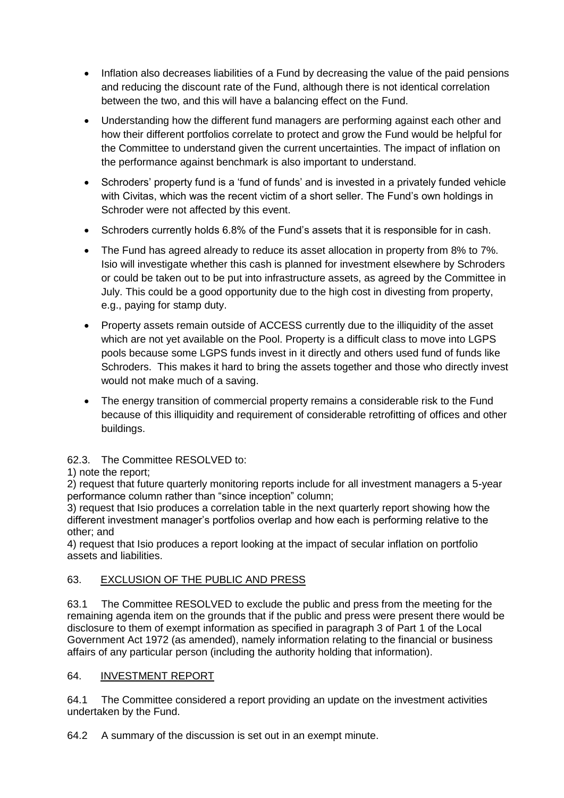- Inflation also decreases liabilities of a Fund by decreasing the value of the paid pensions and reducing the discount rate of the Fund, although there is not identical correlation between the two, and this will have a balancing effect on the Fund.
- Understanding how the different fund managers are performing against each other and how their different portfolios correlate to protect and grow the Fund would be helpful for the Committee to understand given the current uncertainties. The impact of inflation on the performance against benchmark is also important to understand.
- Schroders' property fund is a 'fund of funds' and is invested in a privately funded vehicle with Civitas, which was the recent victim of a short seller. The Fund's own holdings in Schroder were not affected by this event.
- Schroders currently holds 6.8% of the Fund's assets that it is responsible for in cash.
- The Fund has agreed already to reduce its asset allocation in property from 8% to 7%. Isio will investigate whether this cash is planned for investment elsewhere by Schroders or could be taken out to be put into infrastructure assets, as agreed by the Committee in July. This could be a good opportunity due to the high cost in divesting from property, e.g., paying for stamp duty.
- Property assets remain outside of ACCESS currently due to the illiquidity of the asset which are not yet available on the Pool. Property is a difficult class to move into LGPS pools because some LGPS funds invest in it directly and others used fund of funds like Schroders. This makes it hard to bring the assets together and those who directly invest would not make much of a saving.
- The energy transition of commercial property remains a considerable risk to the Fund because of this illiquidity and requirement of considerable retrofitting of offices and other buildings.

## 62.3. The Committee RESOLVED to:

## 1) note the report;

2) request that future quarterly monitoring reports include for all investment managers a 5-year performance column rather than "since inception" column;

3) request that Isio produces a correlation table in the next quarterly report showing how the different investment manager's portfolios overlap and how each is performing relative to the other; and

4) request that Isio produces a report looking at the impact of secular inflation on portfolio assets and liabilities.

## 63. EXCLUSION OF THE PUBLIC AND PRESS

63.1 The Committee RESOLVED to exclude the public and press from the meeting for the remaining agenda item on the grounds that if the public and press were present there would be disclosure to them of exempt information as specified in paragraph 3 of Part 1 of the Local Government Act 1972 (as amended), namely information relating to the financial or business affairs of any particular person (including the authority holding that information).

## 64. INVESTMENT REPORT

64.1 The Committee considered a report providing an update on the investment activities undertaken by the Fund.

64.2 A summary of the discussion is set out in an exempt minute.